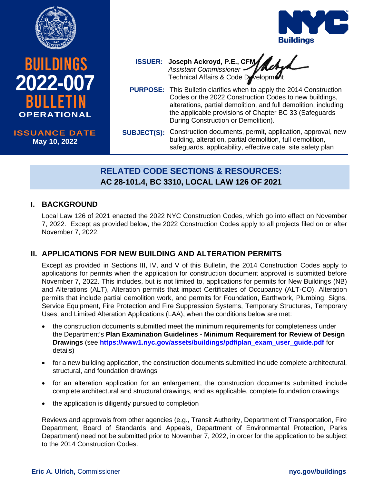





# **ISSUANCE DATE ISSUANCE DATE July XX, 2020 May 10, 2022**

**Joseph Ackroyd, P.E., CFM ISSUER:** *Assistant Commissioner* Technical Affairs & Code Development

- **PURPOSE:** This Bulletin clarifies when to apply the 2014 Construction Codes or the 2022 Construction Codes to new buildings, alterations, partial demolition, and full demolition, including the applicable provisions of Chapter BC 33 (Safeguards During Construction or Demolition).
- **SUBJECT(S):** Construction documents, permit, application, approval, new building, alteration, partial demolition, full demolition, safeguards, applicability, effective date, site safety plan

# **RELATED CODE SECTIONS & RESOURCES: AC 28-101.4, BC 3310, LOCAL LAW 126 OF 2021**

# **I. BACKGROUND**

Local Law 126 of 2021 enacted the 2022 NYC Construction Codes, which go into effect on November 7, 2022. Except as provided below, the 2022 Construction Codes apply to all projects filed on or after November 7, 2022.

# **II. APPLICATIONS FOR NEW BUILDING AND ALTERATION PERMITS**

Except as provided in Sections III, IV, and V of this Bulletin, the 2014 Construction Codes apply to applications for permits when the application for construction document approval is submitted before November 7, 2022. This includes, but is not limited to, applications for permits for New Buildings (NB) and Alterations (ALT), Alteration permits that impact Certificates of Occupancy (ALT-CO), Alteration permits that include partial demolition work, and permits for Foundation, Earthwork, Plumbing, Signs, Service Equipment, Fire Protection and Fire Suppression Systems, Temporary Structures, Temporary Uses, and Limited Alteration Applications (LAA), when the conditions below are met:

- the construction documents submitted meet the minimum requirements for completeness under the Department's **Plan Examination Guidelines - Minimum Requirement for Review of Design Drawings** (see **[https://www1.nyc.gov/assets/buildings/pdf/plan\\_exam\\_user\\_guide.pdf](https://www1.nyc.gov/assets/buildings/pdf/plan_exam_user_guide.pdf)** for details)
- for a new building application, the construction documents submitted include complete architectural, structural, and foundation drawings
- for an alteration application for an enlargement, the construction documents submitted include complete architectural and structural drawings, and as applicable, complete foundation drawings
- the application is diligently pursued to completion

Reviews and approvals from other agencies (e.g., Transit Authority, Department of Transportation, Fire Department, Board of Standards and Appeals, Department of Environmental Protection, Parks Department) need not be submitted prior to November 7, 2022, in order for the application to be subject to the 2014 Construction Codes.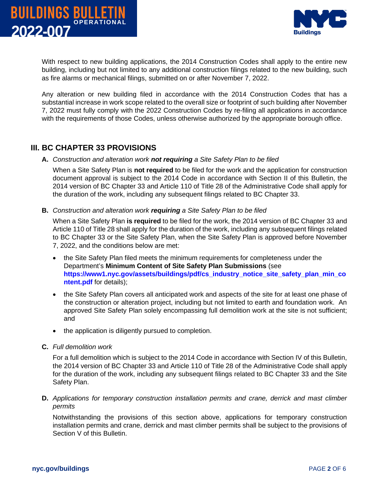



With respect to new building applications, the 2014 Construction Codes shall apply to the entire new building, including but not limited to any additional construction filings related to the new building, such as fire alarms or mechanical filings, submitted on or after November 7, 2022.

Any alteration or new building filed in accordance with the 2014 Construction Codes that has a substantial increase in work scope related to the overall size or footprint of such building after November 7, 2022 must fully comply with the 2022 Construction Codes by re-filing all applications in accordance with the requirements of those Codes, unless otherwise authorized by the appropriate borough office.

#### **III. BC CHAPTER 33 PROVISIONS**

#### **A.** *Construction and alteration work not requiring a Site Safety Plan to be filed*

When a Site Safety Plan is **not required** to be filed for the work and the application for construction document approval is subject to the 2014 Code in accordance with Section II of this Bulletin, the 2014 version of BC Chapter 33 and Article 110 of Title 28 of the Administrative Code shall apply for the duration of the work, including any subsequent filings related to BC Chapter 33.

**B.** *Construction and alteration work requiring a Site Safety Plan to be filed*

When a Site Safety Plan **is required** to be filed for the work, the 2014 version of BC Chapter 33 and Article 110 of Title 28 shall apply for the duration of the work, including any subsequent filings related to BC Chapter 33 or the Site Safety Plan, when the Site Safety Plan is approved before November 7, 2022, and the conditions below are met:

- the Site Safety Plan filed meets the minimum requirements for completeness under the Department's **Minimum Content of Site Safety Plan Submissions** (see **[https://www1.nyc.gov/assets/buildings/pdf/cs\\_industry\\_notice\\_site\\_safety\\_plan\\_min\\_co](https://www1.nyc.gov/assets/buildings/pdf/cs_industry_notice_site_safety_plan_min_content.pdf) [ntent.pdf](https://www1.nyc.gov/assets/buildings/pdf/cs_industry_notice_site_safety_plan_min_content.pdf)** for details);
- the Site Safety Plan covers all anticipated work and aspects of the site for at least one phase of the construction or alteration project, including but not limited to earth and foundation work. An approved Site Safety Plan solely encompassing full demolition work at the site is not sufficient; and
- the application is diligently pursued to completion.
- **C.** *Full demolition work*

For a full demolition which is subject to the 2014 Code in accordance with Section IV of this Bulletin, the 2014 version of BC Chapter 33 and Article 110 of Title 28 of the Administrative Code shall apply for the duration of the work, including any subsequent filings related to BC Chapter 33 and the Site Safety Plan.

**D.** *Applications for temporary construction installation permits and crane, derrick and mast climber permits*

Notwithstanding the provisions of this section above, applications for temporary construction installation permits and crane, derrick and mast climber permits shall be subject to the provisions of Section V of this Bulletin.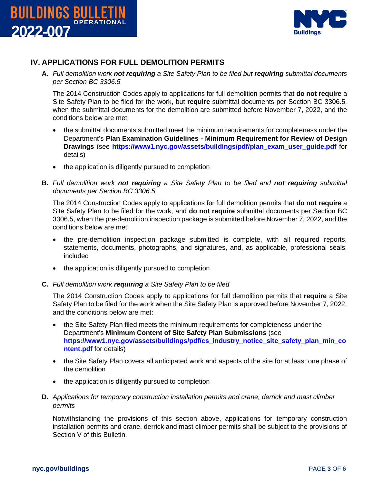



#### **IV. APPLICATIONS FOR FULL DEMOLITION PERMITS**

**A.** *Full demolition work not requiring a Site Safety Plan to be filed but requiring submittal documents per Section BC 3306.5*

The 2014 Construction Codes apply to applications for full demolition permits that **do not require** a Site Safety Plan to be filed for the work, but **require** submittal documents per Section BC 3306.5, when the submittal documents for the demolition are submitted before November 7, 2022, and the conditions below are met:

- the submittal documents submitted meet the minimum requirements for completeness under the Department's **Plan Examination Guidelines - Minimum Requirement for Review of Design Drawings** (see **[https://www1.nyc.gov/assets/buildings/pdf/plan\\_exam\\_user\\_guide.pdf](https://www1.nyc.gov/assets/buildings/pdf/plan_exam_user_guide.pdf)** for details)
- the application is diligently pursued to completion
- **B.** *Full demolition work not requiring a Site Safety Plan to be filed and not requiring submittal documents per Section BC 3306.5*

The 2014 Construction Codes apply to applications for full demolition permits that **do not require** a Site Safety Plan to be filed for the work, and **do not require** submittal documents per Section BC 3306.5, when the pre-demolition inspection package is submitted before November 7, 2022, and the conditions below are met:

- the pre-demolition inspection package submitted is complete, with all required reports, statements, documents, photographs, and signatures, and, as applicable, professional seals, included
- the application is diligently pursued to completion
- **C.** *Full demolition work requiring a Site Safety Plan to be filed*

The 2014 Construction Codes apply to applications for full demolition permits that **require** a Site Safety Plan to be filed for the work when the Site Safety Plan is approved before November 7, 2022, and the conditions below are met:

- the Site Safety Plan filed meets the minimum requirements for completeness under the Department's **Minimum Content of Site Safety Plan Submissions** (see **[https://www1.nyc.gov/assets/buildings/pdf/cs\\_industry\\_notice\\_site\\_safety\\_plan\\_min\\_co](https://www1.nyc.gov/assets/buildings/pdf/cs_industry_notice_site_safety_plan_min_content.pdf) [ntent.pdf](https://www1.nyc.gov/assets/buildings/pdf/cs_industry_notice_site_safety_plan_min_content.pdf)** for details)
- the Site Safety Plan covers all anticipated work and aspects of the site for at least one phase of the demolition
- the application is diligently pursued to completion
- **D.** *Applications for temporary construction installation permits and crane, derrick and mast climber permits*

Notwithstanding the provisions of this section above, applications for temporary construction installation permits and crane, derrick and mast climber permits shall be subject to the provisions of Section V of this Bulletin.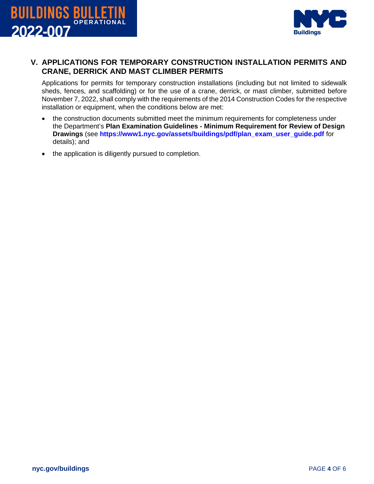



### **V. APPLICATIONS FOR TEMPORARY CONSTRUCTION INSTALLATION PERMITS AND CRANE, DERRICK AND MAST CLIMBER PERMITS**

Applications for permits for temporary construction installations (including but not limited to sidewalk sheds, fences, and scaffolding) or for the use of a crane, derrick, or mast climber, submitted before November 7, 2022, shall comply with the requirements of the 2014 Construction Codes for the respective installation or equipment, when the conditions below are met:

- the construction documents submitted meet the minimum requirements for completeness under the Department's **Plan Examination Guidelines - Minimum Requirement for Review of Design Drawings** (see **[https://www1.nyc.gov/assets/buildings/pdf/plan\\_exam\\_user\\_guide.pdf](https://www1.nyc.gov/assets/buildings/pdf/plan_exam_user_guide.pdf)** for details); and
- the application is diligently pursued to completion.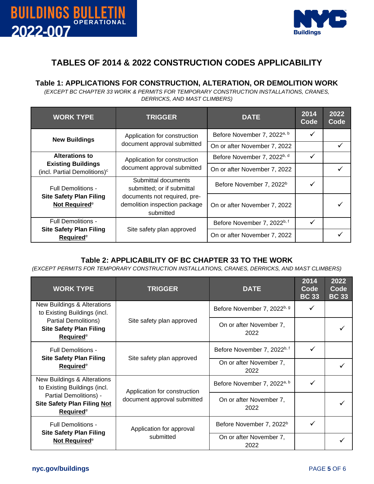



# **TABLES OF 2014 & 2022 CONSTRUCTION CODES APPLICABILITY**

#### **Table 1: APPLICATIONS FOR CONSTRUCTION, ALTERATION, OR DEMOLITION WORK**

*(EXCEPT BC CHAPTER 33 WORK & PERMITS FOR TEMPORARY CONSTRUCTION INSTALLATIONS, CRANES, DERRICKS, AND MAST CLIMBERS)*

| <b>WORK TYPE</b>                                                      | <b>TRIGGER</b>                                                             | <b>DATE</b>                             | 2014<br>Code | 2022<br>Code |
|-----------------------------------------------------------------------|----------------------------------------------------------------------------|-----------------------------------------|--------------|--------------|
| <b>New Buildings</b>                                                  | Application for construction<br>document approval submitted                | Before November 7, 2022 <sup>a, b</sup> | $\checkmark$ |              |
|                                                                       |                                                                            | On or after November 7, 2022            |              |              |
| <b>Alterations to</b>                                                 | Application for construction<br>document approval submitted                | Before November 7, 2022 <sup>b, d</sup> | $\checkmark$ |              |
| <b>Existing Buildings</b><br>(incl. Partial Demolitions) <sup>c</sup> |                                                                            | On or after November 7, 2022            |              |              |
| <b>Full Demolitions -</b>                                             | Submittal documents<br>submitted; or if submittal                          | Before November 7, 2022 <sup>b</sup>    | ✓            |              |
| <b>Site Safety Plan Filing</b><br>Not Required <sup>e</sup>           | documents not required, pre-<br>demolition inspection package<br>submitted | On or after November 7, 2022            |              |              |
| Full Demolitions -                                                    | Site safety plan approved                                                  | Before November 7, 2022 <sup>b, f</sup> | ✓            |              |
| <b>Site Safety Plan Filing</b><br>Required <sup>e</sup>               |                                                                            | On or after November 7, 2022            |              |              |

# **Table 2: APPLICABILITY OF BC CHAPTER 33 TO THE WORK**

*(EXCEPT PERMITS FOR TEMPORARY CONSTRUCTION INSTALLATIONS, CRANES, DERRICKS, AND MAST CLIMBERS)*

| <b>WORK TYPE</b>                                                                                                                                                 | <b>TRIGGER</b>                                              | <b>DATE</b>                             | 2014<br>Code<br><b>BC 33</b> | 2022<br>Code<br><b>BC 33</b> |
|------------------------------------------------------------------------------------------------------------------------------------------------------------------|-------------------------------------------------------------|-----------------------------------------|------------------------------|------------------------------|
| <b>New Buildings &amp; Alterations</b><br>to Existing Buildings (incl.<br><b>Partial Demolitions)</b><br><b>Site Safety Plan Filing</b><br>Required <sup>e</sup> | Site safety plan approved                                   | Before November 7, 2022 <sup>b, g</sup> | ✓                            |                              |
|                                                                                                                                                                  |                                                             | On or after November 7,<br>2022         |                              |                              |
| <b>Full Demolitions -</b><br><b>Site Safety Plan Filing</b><br>Required <sup>e</sup>                                                                             | Site safety plan approved                                   | Before November 7, 2022 <sup>b, f</sup> | ✓                            |                              |
|                                                                                                                                                                  |                                                             | On or after November 7,<br>2022         |                              |                              |
| New Buildings & Alterations<br>to Existing Buildings (incl.                                                                                                      | Application for construction<br>document approval submitted | Before November 7, 2022 <sup>a, b</sup> | ✓                            |                              |
| Partial Demolitions) -<br><b>Site Safety Plan Filing Not</b><br>Required <sup>e</sup>                                                                            |                                                             | On or after November 7,<br>2022         |                              |                              |
| <b>Full Demolitions -</b><br><b>Site Safety Plan Filing</b><br>Not Required <sup>e</sup>                                                                         | Application for approval<br>submitted                       | Before November 7, 2022 <sup>b</sup>    | ✓                            |                              |
|                                                                                                                                                                  |                                                             | On or after November 7,<br>2022         |                              |                              |